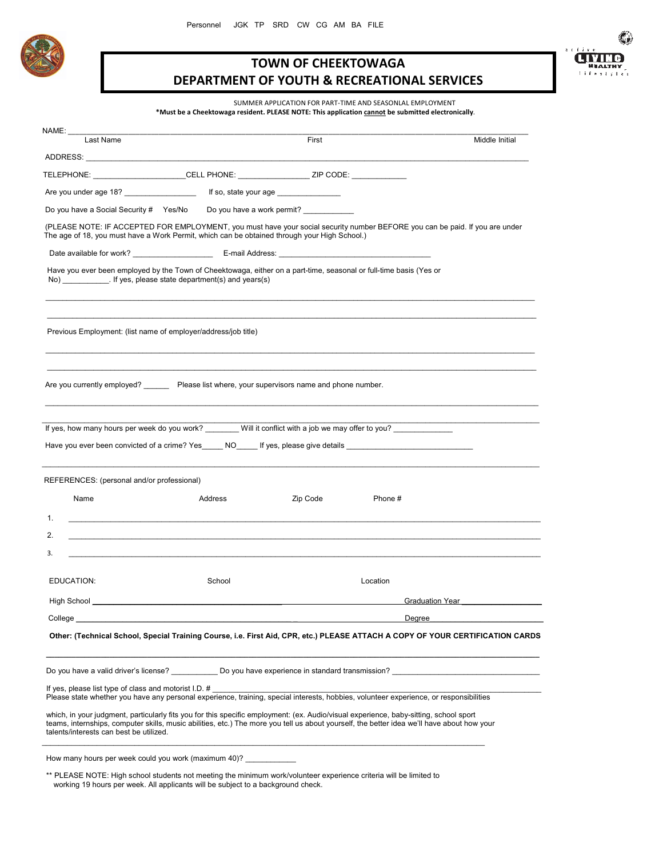

## **TOWN OF CHEEKTOWAGA DEPARTMENT OF YOUTH & RECREATIONAL SERVICES**



SUMMER APPLICATION FOR PART-TIME AND SEASONLAL EMPLOYMENT **\*Must be a Cheektowaga resident. PLEASE NOTE: This application cannot be submitted electronically**.

|                                                       |                                                                                                                                                                                                                              |          |                        | Middle Initial |
|-------------------------------------------------------|------------------------------------------------------------------------------------------------------------------------------------------------------------------------------------------------------------------------------|----------|------------------------|----------------|
|                                                       |                                                                                                                                                                                                                              |          |                        |                |
|                                                       | TELEPHONE: ________________________CELL PHONE: __________________________________                                                                                                                                            |          |                        |                |
|                                                       |                                                                                                                                                                                                                              |          |                        |                |
|                                                       | Do you have a Social Security # Yes/No Do you have a work permit?                                                                                                                                                            |          |                        |                |
|                                                       | (PLEASE NOTE: IF ACCEPTED FOR EMPLOYMENT, you must have your social security number BEFORE you can be paid. If you are under<br>The age of 18, you must have a Work Permit, which can be obtained through your High School.) |          |                        |                |
|                                                       |                                                                                                                                                                                                                              |          |                        |                |
|                                                       | Have you ever been employed by the Town of Cheektowaga, either on a part-time, seasonal or full-time basis (Yes or<br>No) [15] If yes, please state department(s) and years(s)                                               |          |                        |                |
|                                                       | Previous Employment: (list name of employer/address/job title)                                                                                                                                                               |          |                        |                |
|                                                       | Are you currently employed? Please list where, your supervisors name and phone number.                                                                                                                                       |          |                        |                |
|                                                       |                                                                                                                                                                                                                              |          |                        |                |
|                                                       |                                                                                                                                                                                                                              |          |                        |                |
|                                                       | If yes, how many hours per week do you work? _______ Will it conflict with a job we may offer to you?                                                                                                                        |          |                        |                |
|                                                       | Have you ever been convicted of a crime? Yes NO If yes, please give details                                                                                                                                                  |          |                        |                |
|                                                       |                                                                                                                                                                                                                              |          |                        |                |
|                                                       |                                                                                                                                                                                                                              |          |                        |                |
| REFERENCES: (personal and/or professional)<br>Name    | Address                                                                                                                                                                                                                      | Zip Code | Phone #                |                |
| 1.                                                    | <u> 1989 - Johann Stoff, amerikansk politiker (d. 1989)</u>                                                                                                                                                                  |          |                        |                |
| 2.                                                    |                                                                                                                                                                                                                              |          |                        |                |
| 3.                                                    |                                                                                                                                                                                                                              |          |                        |                |
|                                                       |                                                                                                                                                                                                                              |          |                        |                |
| EDUCATION:                                            | School                                                                                                                                                                                                                       |          | Location               |                |
| High School                                           |                                                                                                                                                                                                                              |          | <b>Graduation Year</b> |                |
| College                                               |                                                                                                                                                                                                                              |          | Dearee                 |                |
|                                                       | Other: (Technical School, Special Training Course, i.e. First Aid, CPR, etc.) PLEASE ATTACH A COPY OF YOUR CERTIFICATION CARDS                                                                                               |          |                        |                |
|                                                       |                                                                                                                                                                                                                              |          |                        |                |
|                                                       | Do you have a valid driver's license? Do you have experience in standard transmission?                                                                                                                                       |          |                        |                |
| If yes, please list type of class and motorist I.D. # | Please state whether you have any personal experience, training, special interests, hobbies, volunteer experience, or responsibilities                                                                                       |          |                        |                |

 \*\* PLEASE NOTE: High school students not meeting the minimum work/volunteer experience criteria will be limited to working 19 hours per week. All applicants will be subject to a background check.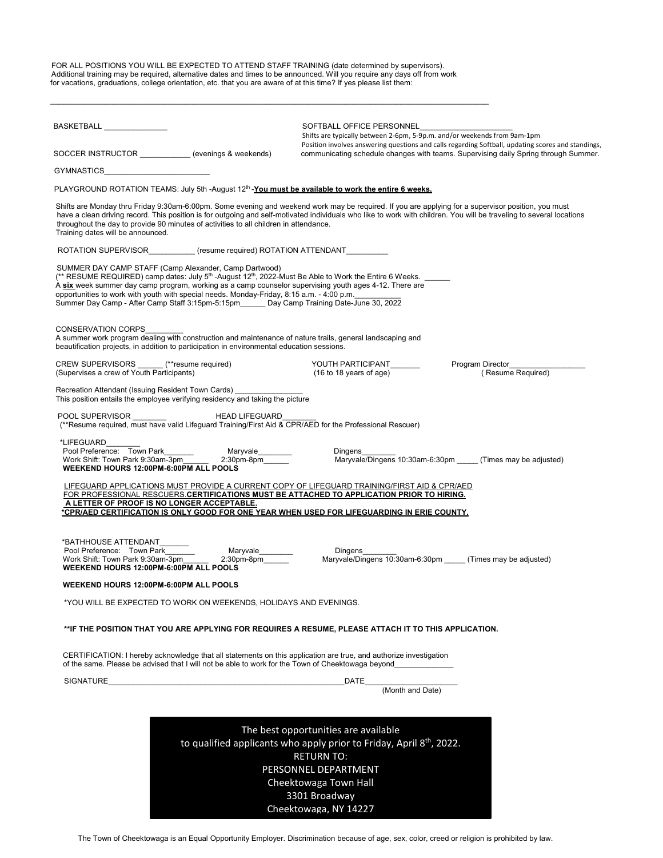FOR ALL POSITIONS YOU WILL BE EXPECTED TO ATTEND STAFF TRAINING (date determined by supervisors). Additional training may be required, alternative dates and times to be announced. Will you require any days off from work for vacations, graduations, college orientation, etc. that you are aware of at this time? If yes please list them:

\_\_\_\_\_\_\_\_\_\_\_\_\_\_\_\_\_\_\_\_\_\_\_\_\_\_\_\_\_\_\_\_\_\_\_\_\_\_\_\_\_\_\_\_\_\_\_\_\_\_\_\_\_\_\_\_\_\_\_\_\_\_\_\_\_\_\_\_\_\_\_\_\_\_\_\_\_\_\_\_\_\_\_\_\_\_\_\_\_\_\_\_\_\_\_\_\_\_\_\_\_\_\_\_

| BASKETBALL ______________                                                                                                                                                                                                                                                                                                                                                                                                                                                                             | SOFTBALL OFFICE PERSONNEL<br>Shifts are typically between 2-6pm, 5-9p.m. and/or weekends from 9am-1pm<br>Position involves answering questions and calls regarding Softball, updating scores and standings,                                                                                                                 |
|-------------------------------------------------------------------------------------------------------------------------------------------------------------------------------------------------------------------------------------------------------------------------------------------------------------------------------------------------------------------------------------------------------------------------------------------------------------------------------------------------------|-----------------------------------------------------------------------------------------------------------------------------------------------------------------------------------------------------------------------------------------------------------------------------------------------------------------------------|
| SOCCER INSTRUCTOR __________(evenings & weekends)                                                                                                                                                                                                                                                                                                                                                                                                                                                     | communicating schedule changes with teams. Supervising daily Spring through Summer.                                                                                                                                                                                                                                         |
| GYMNASTICS _________________                                                                                                                                                                                                                                                                                                                                                                                                                                                                          |                                                                                                                                                                                                                                                                                                                             |
| PLAYGROUND ROTATION TEAMS: July 5th -August 12 <sup>th</sup> -You must be available to work the entire 6 weeks.                                                                                                                                                                                                                                                                                                                                                                                       |                                                                                                                                                                                                                                                                                                                             |
| throughout the day to provide 90 minutes of activities to all children in attendance.<br>Training dates will be announced.                                                                                                                                                                                                                                                                                                                                                                            | Shifts are Monday thru Friday 9:30am-6:00pm. Some evening and weekend work may be required. If you are applying for a supervisor position, you must<br>have a clean driving record. This position is for outgoing and self-motivated individuals who like to work with children. You will be traveling to several locations |
| ROTATION SUPERVISOR (resume required) ROTATION ATTENDANT                                                                                                                                                                                                                                                                                                                                                                                                                                              |                                                                                                                                                                                                                                                                                                                             |
| SUMMER DAY CAMP STAFF (Camp Alexander, Camp Dartwood)<br>(** RESUME REQUIRED) camp dates: July 5 <sup>th</sup> -August 12 <sup>th</sup> , 2022-Must Be Able to Work the Entire 6 Weeks. ______<br>A six week summer day camp program, working as a camp counselor supervising youth ages 4-12. There are<br>opportunities to work with youth with special needs. Monday-Friday, 8:15 a.m. - 4:00 p.m.<br>Summer Day Camp - After Camp Staff 3:15pm-5:15pm_______ Day Camp Training Date-June 30, 2022 |                                                                                                                                                                                                                                                                                                                             |
| <b>CONSERVATION CORPS</b><br>A summer work program dealing with construction and maintenance of nature trails, general landscaping and<br>beautification projects, in addition to participation in environmental education sessions.                                                                                                                                                                                                                                                                  |                                                                                                                                                                                                                                                                                                                             |
| CREW SUPERVISORS ______ (**resume required)<br>(Supervises a crew of Youth Participants)                                                                                                                                                                                                                                                                                                                                                                                                              | YOUTH PARTICIPANT<br>Program Director<br>$(16 to 18$ years of age)<br>(Resume Required)                                                                                                                                                                                                                                     |
| Recreation Attendant (Issuing Resident Town Cards)<br>This position entails the employee verifying residency and taking the picture                                                                                                                                                                                                                                                                                                                                                                   |                                                                                                                                                                                                                                                                                                                             |
|                                                                                                                                                                                                                                                                                                                                                                                                                                                                                                       |                                                                                                                                                                                                                                                                                                                             |
| *LIFEGUARD<br>WEEKEND HOURS 12:00PM-6:00PM ALL POOLS                                                                                                                                                                                                                                                                                                                                                                                                                                                  | Dingens<br>Maryvale/Dingens 10:30am-6:30pm (Times may be adjusted)                                                                                                                                                                                                                                                          |
| LIFEGUARD APPLICATIONS MUST PROVIDE A CURRENT COPY OF LIFEGUARD TRAINING/FIRST AID & CPR/AED<br>FOR PROFESSIONAL RESCUERS.CERTIFICATIONS MUST BE ATTACHED TO APPLICATION PRIOR TO HIRING.<br>A LETTER OF PROOF IS NO LONGER ACCEPTABLE.<br>*CPR/AED CERTIFICATION IS ONLY GOOD FOR ONE YEAR WHEN USED FOR LIFEGUARDING IN ERIE COUNTY.                                                                                                                                                                |                                                                                                                                                                                                                                                                                                                             |
| *BATHHOUSE ATTENDANT_______<br>Pool Preference: Town Park<br>Maryvale_________<br>2:30pm-8pm<br>Work Shift: Town Park 9:30am-3pm<br>$2:30$ pm-8pm<br>WEEKEND HOURS 12:00PM-6:00PM ALL POOLS                                                                                                                                                                                                                                                                                                           | Dingens<br>Maryvale/Dingens 10:30am-6:30pm (Times may be adjusted)                                                                                                                                                                                                                                                          |
| WEEKEND HOURS 12:00PM-6:00PM ALL POOLS                                                                                                                                                                                                                                                                                                                                                                                                                                                                |                                                                                                                                                                                                                                                                                                                             |
| *YOU WILL BE EXPECTED TO WORK ON WEEKENDS, HOLIDAYS AND EVENINGS.                                                                                                                                                                                                                                                                                                                                                                                                                                     |                                                                                                                                                                                                                                                                                                                             |
| **IF THE POSITION THAT YOU ARE APPLYING FOR REQUIRES A RESUME, PLEASE ATTACH IT TO THIS APPLICATION.                                                                                                                                                                                                                                                                                                                                                                                                  |                                                                                                                                                                                                                                                                                                                             |
| CERTIFICATION: I hereby acknowledge that all statements on this application are true, and authorize investigation<br>of the same. Please be advised that I will not be able to work for the Town of Cheektowaga beyond                                                                                                                                                                                                                                                                                |                                                                                                                                                                                                                                                                                                                             |
| SIGNATURE                                                                                                                                                                                                                                                                                                                                                                                                                                                                                             | DATE                                                                                                                                                                                                                                                                                                                        |
|                                                                                                                                                                                                                                                                                                                                                                                                                                                                                                       | (Month and Date)                                                                                                                                                                                                                                                                                                            |
|                                                                                                                                                                                                                                                                                                                                                                                                                                                                                                       |                                                                                                                                                                                                                                                                                                                             |
|                                                                                                                                                                                                                                                                                                                                                                                                                                                                                                       | The best opportunities are available                                                                                                                                                                                                                                                                                        |
|                                                                                                                                                                                                                                                                                                                                                                                                                                                                                                       | to qualified applicants who apply prior to Friday, April 8 <sup>th</sup> , 2022.<br><b>RETURN TO:</b>                                                                                                                                                                                                                       |
|                                                                                                                                                                                                                                                                                                                                                                                                                                                                                                       | PERSONNEL DEPARTMENT                                                                                                                                                                                                                                                                                                        |
|                                                                                                                                                                                                                                                                                                                                                                                                                                                                                                       | Cheektowaga Town Hall                                                                                                                                                                                                                                                                                                       |

The Town of Cheektowaga is an Equal Opportunity Employer. Discrimination because of age, sex, color, creed or religion is prohibited by law.

3301 Broadway Cheektowaga, NY 14227